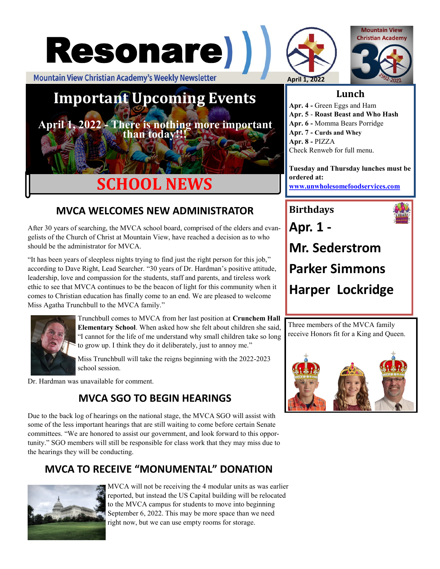



**April 1, 2022 - There is nothing more important than today!!!**

# **SCHOOL NEWS**

## **MVCA WELCOMES NEW ADMINISTRATOR**

After 30 years of searching, the MVCA school board, comprised of the elders and evangelists of the Church of Christ at Mountain View, have reached a decision as to who should be the administrator for MVCA.

"It has been years of sleepless nights trying to find just the right person for this job," according to Dave Right, Lead Searcher. "30 years of Dr. Hardman's positive attitude, leadership, love and compassion for the students, staff and parents, and tireless work ethic to see that MVCA continues to be the beacon of light for this community when it comes to Christian education has finally come to an end. We are pleased to welcome Miss Agatha Trunchbull to the MVCA family."



Trunchbull comes to MVCA from her last position at **Crunchem Hall Elementary School**. When asked how she felt about children she said, "I cannot for the life of me understand why small children take so long to grow up. I think they do it deliberately, just to annoy me."

Miss Trunchbull will take the reigns beginning with the 2022-2023 school session.

Dr. Hardman was unavailable for comment.

### **MVCA SGO TO BEGIN HEARINGS**

Due to the back log of hearings on the national stage, the MVCA SGO will assist with some of the less important hearings that are still waiting to come before certain Senate committees. "We are honored to assist our government, and look forward to this opportunity." SGO members will still be responsible for class work that they may miss due to the hearings they will be conducting.

## **MVCA TO RECEIVE "MONUMENTAL" DONATION**



MVCA will not be receiving the 4 modular units as was earlier reported, but instead the US Capital building will be relocated to the MVCA campus for students to move into beginning September 6, 2022. This may be more space than we need right now, but we can use empty rooms for storage.





#### **Lunch**

**Apr. 4 -** Green Eggs and Ham **Apr. 5** - **Roast Beast and Who Hash Apr. 6 -** Momma Bears Porridge **Apr. 7 - Curds and Whey Apr. 8 -** PIZZA Check Renweb for full menu.

**Tuesday and Thursday lunches must be ordered at: [www.unwholesomefoodservices.com](http://www.wholesomefoodservices.com)**

**Birthdays Apr. 1 - Mr. Sederstrom Parker Simmons Harper Lockridge**

Three members of the MVCA family receive Honors fit for a King and Queen.